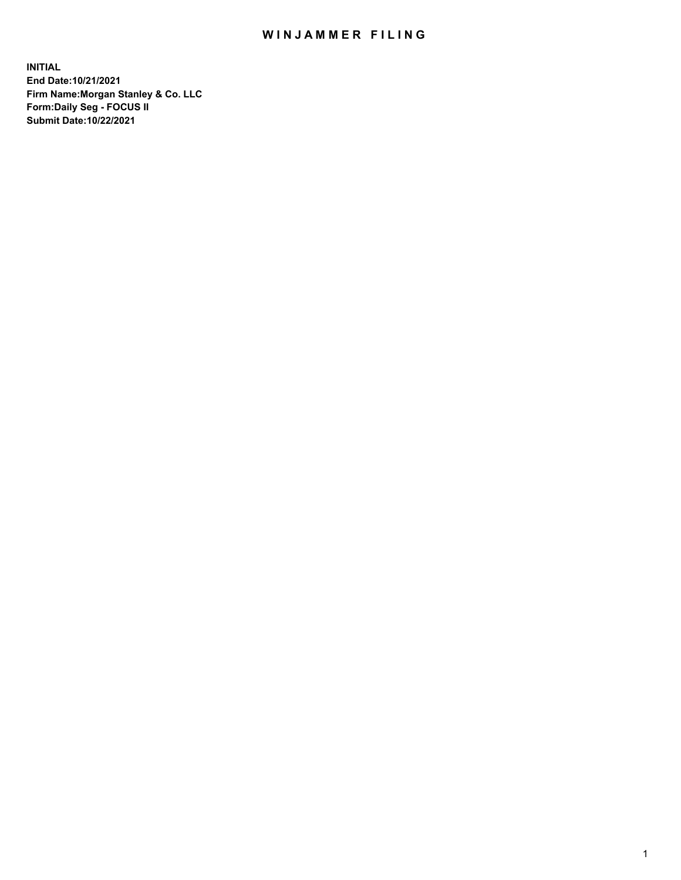## WIN JAMMER FILING

**INITIAL End Date:10/21/2021 Firm Name:Morgan Stanley & Co. LLC Form:Daily Seg - FOCUS II Submit Date:10/22/2021**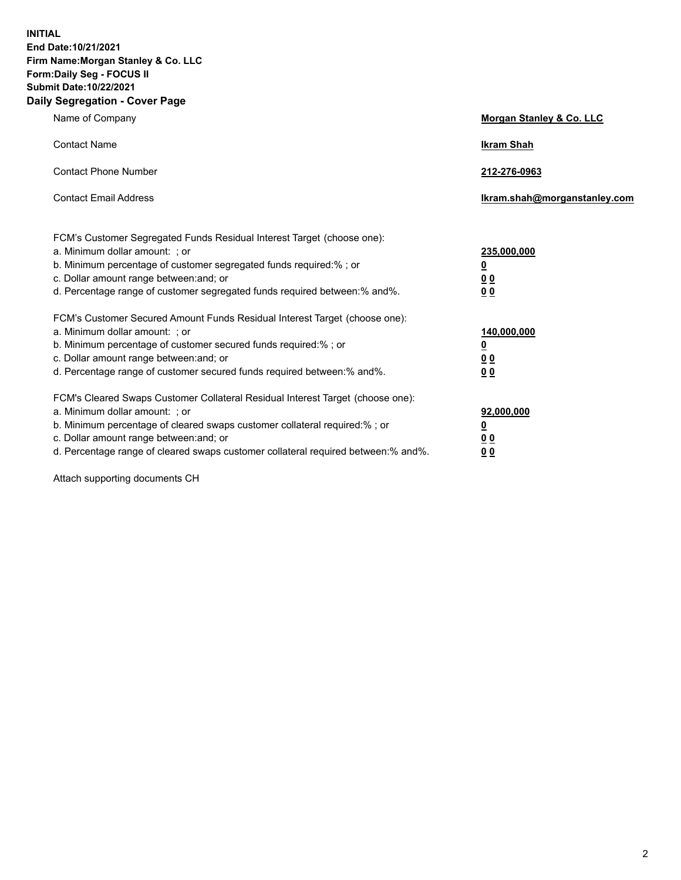**INITIAL End Date:10/21/2021 Firm Name:Morgan Stanley & Co. LLC Form:Daily Seg - FOCUS II Submit Date:10/22/2021 Daily Segregation - Cover Page**

| Name of Company                                                                                                                                                                                                                                                                                                                | Morgan Stanley & Co. LLC                                |
|--------------------------------------------------------------------------------------------------------------------------------------------------------------------------------------------------------------------------------------------------------------------------------------------------------------------------------|---------------------------------------------------------|
| <b>Contact Name</b>                                                                                                                                                                                                                                                                                                            | <b>Ikram Shah</b>                                       |
| <b>Contact Phone Number</b>                                                                                                                                                                                                                                                                                                    | 212-276-0963                                            |
| <b>Contact Email Address</b>                                                                                                                                                                                                                                                                                                   | Ikram.shah@morganstanley.com                            |
| FCM's Customer Segregated Funds Residual Interest Target (choose one):<br>a. Minimum dollar amount: ; or<br>b. Minimum percentage of customer segregated funds required:%; or<br>c. Dollar amount range between: and; or<br>d. Percentage range of customer segregated funds required between: % and %.                        | 235,000,000<br><u>0</u><br>00<br>0 Q                    |
| FCM's Customer Secured Amount Funds Residual Interest Target (choose one):<br>a. Minimum dollar amount: ; or<br>b. Minimum percentage of customer secured funds required:%; or<br>c. Dollar amount range between: and; or<br>d. Percentage range of customer secured funds required between:% and%.                            | 140,000,000<br><u>0</u><br><u>0 0</u><br>0 <sub>0</sub> |
| FCM's Cleared Swaps Customer Collateral Residual Interest Target (choose one):<br>a. Minimum dollar amount: ; or<br>b. Minimum percentage of cleared swaps customer collateral required:% ; or<br>c. Dollar amount range between: and; or<br>d. Percentage range of cleared swaps customer collateral required between:% and%. | 92,000,000<br><u>0</u><br><u>00</u><br>00               |

Attach supporting documents CH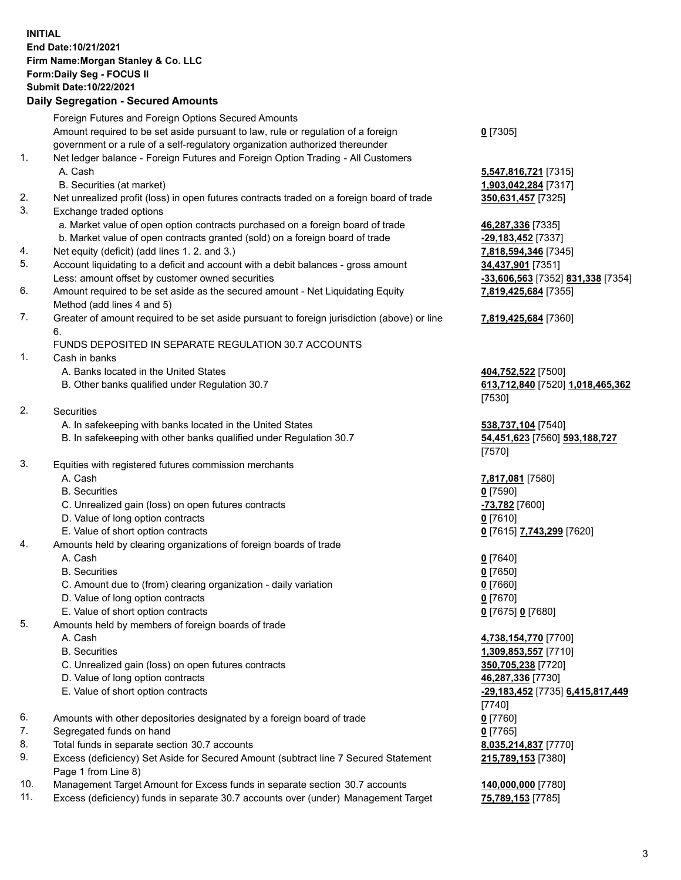## **INITIAL End Date:10/21/2021 Firm Name:Morgan Stanley & Co. LLC Form:Daily Seg - FOCUS II Submit Date:10/22/2021**

## **Daily Segregation - Secured Amounts**

Foreign Futures and Foreign Options Secured Amounts Amount required to be set aside pursuant to law, rule or regulation of a foreign government or a rule of a self-regulatory organization authorized thereunder 1. Net ledger balance - Foreign Futures and Foreign Option Trading - All Customers A. Cash **5,547,816,721** [7315] B. Securities (at market) **1,903,042,284** [7317] 2. Net unrealized profit (loss) in open futures contracts traded on a foreign board of trade **350,631,457** [7325] 3. Exchange traded options a. Market value of open option contracts purchased on a foreign board of trade **46,287,336** [7335] b. Market value of open contracts granted (sold) on a foreign board of trade **-29,183,452** [7337] 4. Net equity (deficit) (add lines 1. 2. and 3.) **7,818,594,346** [7345] 5. Account liquidating to a deficit and account with a debit balances - gross amount **34,437,901** [7351] Less: amount offset by customer owned securities **-33,606,563** [7352] **831,338** [7354] 6. Amount required to be set aside as the secured amount - Net Liquidating Equity Method (add lines 4 and 5) 7. Greater of amount required to be set aside pursuant to foreign jurisdiction (above) or line 6. FUNDS DEPOSITED IN SEPARATE REGULATION 30.7 ACCOUNTS 1. Cash in banks A. Banks located in the United States **404,752,522** [7500] B. Other banks qualified under Regulation 30.7 **613,712,840** [7520] **1,018,465,362** 2. Securities A. In safekeeping with banks located in the United States **538,737,104** [7540] B. In safekeeping with other banks qualified under Regulation 30.7 **54,451,623** [7560] **593,188,727** 3. Equities with registered futures commission merchants A. Cash **7,817,081** [7580] B. Securities **0** [7590] C. Unrealized gain (loss) on open futures contracts **-73,782** [7600] D. Value of long option contracts **0** [7610] E. Value of short option contracts **0** [7615] **7,743,299** [7620] 4. Amounts held by clearing organizations of foreign boards of trade A. Cash **0** [7640] B. Securities **0** [7650] C. Amount due to (from) clearing organization - daily variation **0** [7660] D. Value of long option contracts **0** [7670] E. Value of short option contracts **0** [7675] **0** [7680] 5. Amounts held by members of foreign boards of trade A. Cash **4,738,154,770** [7700] B. Securities **1,309,853,557** [7710] C. Unrealized gain (loss) on open futures contracts **350,705,238** [7720] D. Value of long option contracts **46,287,336** [7730] E. Value of short option contracts **-29,183,452** [7735] **6,415,817,449** 6. Amounts with other depositories designated by a foreign board of trade **0** [7760] 7. Segregated funds on hand **0** [7765] 8. Total funds in separate section 30.7 accounts **8,035,214,837** [7770] 9. Excess (deficiency) Set Aside for Secured Amount (subtract line 7 Secured Statement Page 1 from Line 8)

- 10. Management Target Amount for Excess funds in separate section 30.7 accounts **140,000,000** [7780]
- 11. Excess (deficiency) funds in separate 30.7 accounts over (under) Management Target **75,789,153** [7785]

**0** [7305]

**7,819,425,684** [7355]

## **7,819,425,684** [7360]

[7530]

[7570]

[7740] **215,789,153** [7380]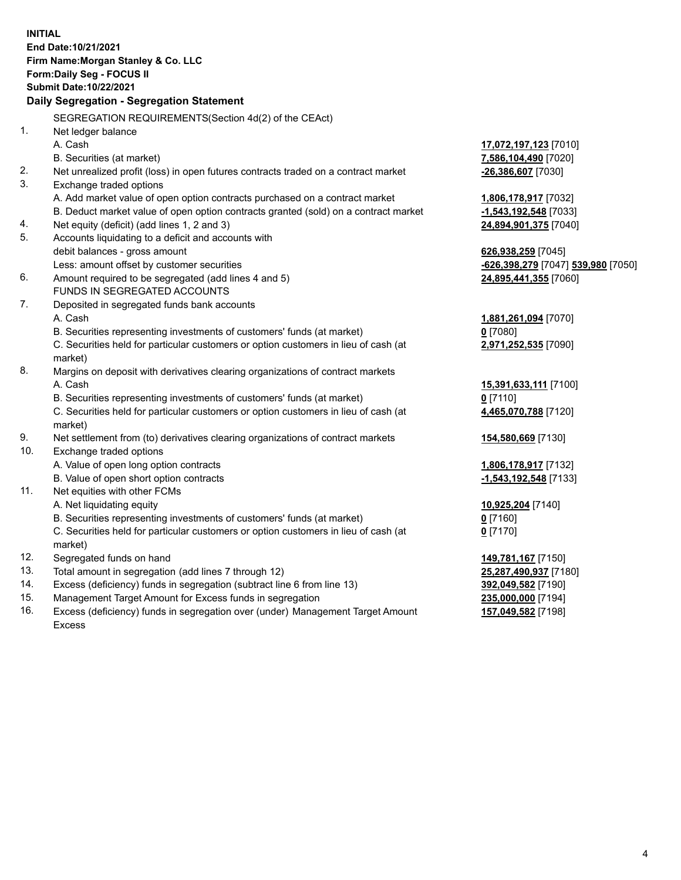**INITIAL End Date:10/21/2021 Firm Name:Morgan Stanley & Co. LLC Form:Daily Seg - FOCUS II Submit Date:10/22/2021 Daily Segregation - Segregation Statement** SEGREGATION REQUIREMENTS(Section 4d(2) of the CEAct) 1. Net ledger balance A. Cash **17,072,197,123** [7010] B. Securities (at market) **7,586,104,490** [7020] 2. Net unrealized profit (loss) in open futures contracts traded on a contract market **-26,386,607** [7030] 3. Exchange traded options A. Add market value of open option contracts purchased on a contract market **1,806,178,917** [7032] B. Deduct market value of open option contracts granted (sold) on a contract market **-1,543,192,548** [7033] 4. Net equity (deficit) (add lines 1, 2 and 3) **24,894,901,375** [7040] 5. Accounts liquidating to a deficit and accounts with debit balances - gross amount **626,938,259** [7045] Less: amount offset by customer securities **-626,398,279** [7047] **539,980** [7050] 6. Amount required to be segregated (add lines 4 and 5) **24,895,441,355** [7060] FUNDS IN SEGREGATED ACCOUNTS 7. Deposited in segregated funds bank accounts A. Cash **1,881,261,094** [7070] B. Securities representing investments of customers' funds (at market) **0** [7080] C. Securities held for particular customers or option customers in lieu of cash (at market) **2,971,252,535** [7090] 8. Margins on deposit with derivatives clearing organizations of contract markets A. Cash **15,391,633,111** [7100] B. Securities representing investments of customers' funds (at market) **0** [7110] C. Securities held for particular customers or option customers in lieu of cash (at market) **4,465,070,788** [7120] 9. Net settlement from (to) derivatives clearing organizations of contract markets **154,580,669** [7130] 10. Exchange traded options A. Value of open long option contracts **1,806,178,917** [7132] B. Value of open short option contracts **-1,543,192,548** [7133] 11. Net equities with other FCMs A. Net liquidating equity **10,925,204** [7140] B. Securities representing investments of customers' funds (at market) **0** [7160] C. Securities held for particular customers or option customers in lieu of cash (at market) **0** [7170] 12. Segregated funds on hand **149,781,167** [7150] 13. Total amount in segregation (add lines 7 through 12) **25,287,490,937** [7180] 14. Excess (deficiency) funds in segregation (subtract line 6 from line 13) **392,049,582** [7190] 15. Management Target Amount for Excess funds in segregation **235,000,000** [7194]

16. Excess (deficiency) funds in segregation over (under) Management Target Amount Excess

**157,049,582** [7198]